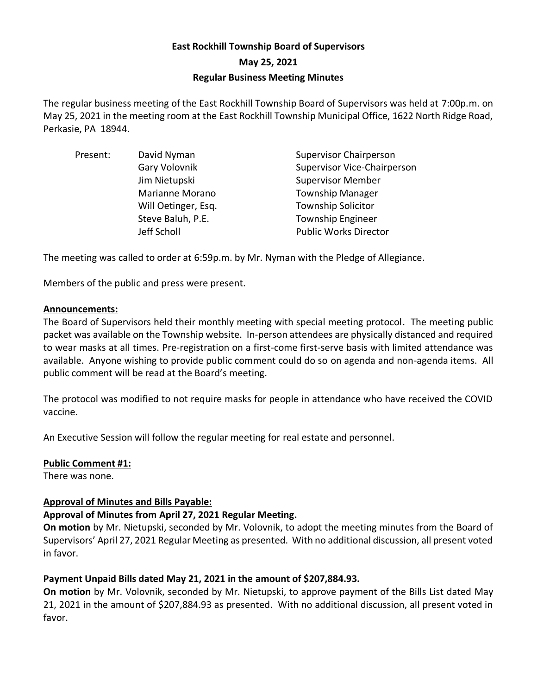# **East Rockhill Township Board of Supervisors May 25, 2021 Regular Business Meeting Minutes**

The regular business meeting of the East Rockhill Township Board of Supervisors was held at 7:00p.m. on May 25, 2021 in the meeting room at the East Rockhill Township Municipal Office, 1622 North Ridge Road, Perkasie, PA 18944.

| Present: | David Nyman         | <b>Supervisor Chairperson</b>      |
|----------|---------------------|------------------------------------|
|          | Gary Volovnik       | <b>Supervisor Vice-Chairperson</b> |
|          | Jim Nietupski       | <b>Supervisor Member</b>           |
|          | Marianne Morano     | <b>Township Manager</b>            |
|          | Will Oetinger, Esq. | <b>Township Solicitor</b>          |
|          | Steve Baluh, P.E.   | <b>Township Engineer</b>           |
|          | Jeff Scholl         | <b>Public Works Director</b>       |

The meeting was called to order at 6:59p.m. by Mr. Nyman with the Pledge of Allegiance.

Members of the public and press were present.

### **Announcements:**

The Board of Supervisors held their monthly meeting with special meeting protocol. The meeting public packet was available on the Township website. In-person attendees are physically distanced and required to wear masks at all times. Pre-registration on a first-come first-serve basis with limited attendance was available. Anyone wishing to provide public comment could do so on agenda and non-agenda items. All public comment will be read at the Board's meeting.

The protocol was modified to not require masks for people in attendance who have received the COVID vaccine.

An Executive Session will follow the regular meeting for real estate and personnel.

### **Public Comment #1:**

There was none.

### **Approval of Minutes and Bills Payable:**

# **Approval of Minutes from April 27, 2021 Regular Meeting.**

**On motion** by Mr. Nietupski, seconded by Mr. Volovnik, to adopt the meeting minutes from the Board of Supervisors' April 27, 2021 Regular Meeting as presented. With no additional discussion, all present voted in favor.

# **Payment Unpaid Bills dated May 21, 2021 in the amount of \$207,884.93.**

**On motion** by Mr. Volovnik, seconded by Mr. Nietupski, to approve payment of the Bills List dated May 21, 2021 in the amount of \$207,884.93 as presented. With no additional discussion, all present voted in favor.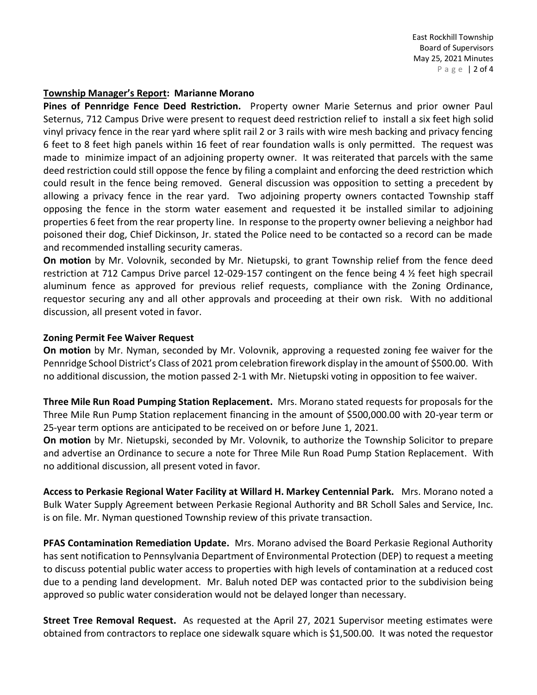East Rockhill Township Board of Supervisors May 25, 2021 Minutes P a g e | 2 of 4

#### **Township Manager's Report: Marianne Morano**

**Pines of Pennridge Fence Deed Restriction.** Property owner Marie Seternus and prior owner Paul Seternus, 712 Campus Drive were present to request deed restriction relief to install a six feet high solid vinyl privacy fence in the rear yard where split rail 2 or 3 rails with wire mesh backing and privacy fencing 6 feet to 8 feet high panels within 16 feet of rear foundation walls is only permitted. The request was made to minimize impact of an adjoining property owner. It was reiterated that parcels with the same deed restriction could still oppose the fence by filing a complaint and enforcing the deed restriction which could result in the fence being removed. General discussion was opposition to setting a precedent by allowing a privacy fence in the rear yard. Two adjoining property owners contacted Township staff opposing the fence in the storm water easement and requested it be installed similar to adjoining properties 6 feet from the rear property line. In response to the property owner believing a neighbor had poisoned their dog, Chief Dickinson, Jr. stated the Police need to be contacted so a record can be made and recommended installing security cameras.

**On motion** by Mr. Volovnik, seconded by Mr. Nietupski, to grant Township relief from the fence deed restriction at 712 Campus Drive parcel 12-029-157 contingent on the fence being 4 ½ feet high specrail aluminum fence as approved for previous relief requests, compliance with the Zoning Ordinance, requestor securing any and all other approvals and proceeding at their own risk. With no additional discussion, all present voted in favor.

#### **Zoning Permit Fee Waiver Request**

**On motion** by Mr. Nyman, seconded by Mr. Volovnik, approving a requested zoning fee waiver for the Pennridge School District's Class of 2021 prom celebration firework display in the amount of \$500.00. With no additional discussion, the motion passed 2-1 with Mr. Nietupski voting in opposition to fee waiver.

**Three Mile Run Road Pumping Station Replacement.** Mrs. Morano stated requests for proposals for the Three Mile Run Pump Station replacement financing in the amount of \$500,000.00 with 20-year term or 25-year term options are anticipated to be received on or before June 1, 2021.

**On motion** by Mr. Nietupski, seconded by Mr. Volovnik, to authorize the Township Solicitor to prepare and advertise an Ordinance to secure a note for Three Mile Run Road Pump Station Replacement. With no additional discussion, all present voted in favor.

**Access to Perkasie Regional Water Facility at Willard H. Markey Centennial Park.** Mrs. Morano noted a Bulk Water Supply Agreement between Perkasie Regional Authority and BR Scholl Sales and Service, Inc. is on file. Mr. Nyman questioned Township review of this private transaction.

**PFAS Contamination Remediation Update.** Mrs. Morano advised the Board Perkasie Regional Authority has sent notification to Pennsylvania Department of Environmental Protection (DEP) to request a meeting to discuss potential public water access to properties with high levels of contamination at a reduced cost due to a pending land development. Mr. Baluh noted DEP was contacted prior to the subdivision being approved so public water consideration would not be delayed longer than necessary.

**Street Tree Removal Request.** As requested at the April 27, 2021 Supervisor meeting estimates were obtained from contractors to replace one sidewalk square which is \$1,500.00. It was noted the requestor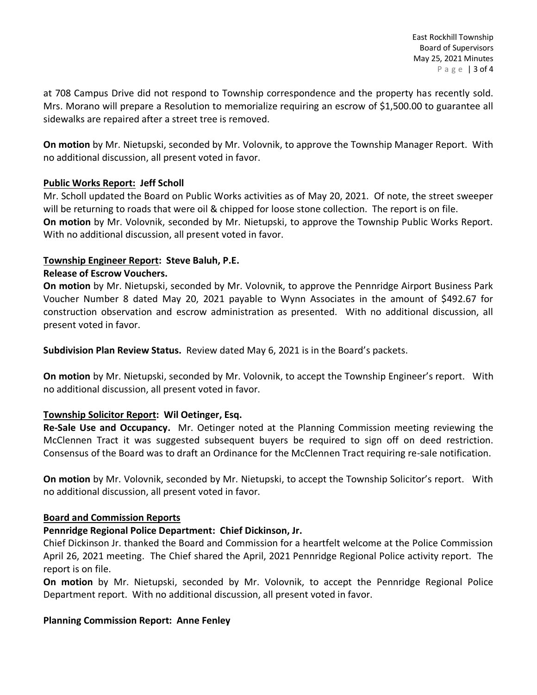at 708 Campus Drive did not respond to Township correspondence and the property has recently sold. Mrs. Morano will prepare a Resolution to memorialize requiring an escrow of \$1,500.00 to guarantee all sidewalks are repaired after a street tree is removed.

**On motion** by Mr. Nietupski, seconded by Mr. Volovnik, to approve the Township Manager Report. With no additional discussion, all present voted in favor.

# **Public Works Report: Jeff Scholl**

Mr. Scholl updated the Board on Public Works activities as of May 20, 2021. Of note, the street sweeper will be returning to roads that were oil & chipped for loose stone collection. The report is on file. **On motion** by Mr. Volovnik, seconded by Mr. Nietupski, to approve the Township Public Works Report. With no additional discussion, all present voted in favor.

# **Township Engineer Report: Steve Baluh, P.E.**

# **Release of Escrow Vouchers.**

**On motion** by Mr. Nietupski, seconded by Mr. Volovnik, to approve the Pennridge Airport Business Park Voucher Number 8 dated May 20, 2021 payable to Wynn Associates in the amount of \$492.67 for construction observation and escrow administration as presented. With no additional discussion, all present voted in favor.

**Subdivision Plan Review Status.** Review dated May 6, 2021 is in the Board's packets.

**On motion** by Mr. Nietupski, seconded by Mr. Volovnik, to accept the Township Engineer's report. With no additional discussion, all present voted in favor.

# **Township Solicitor Report: Wil Oetinger, Esq.**

**Re-Sale Use and Occupancy.** Mr. Oetinger noted at the Planning Commission meeting reviewing the McClennen Tract it was suggested subsequent buyers be required to sign off on deed restriction. Consensus of the Board was to draft an Ordinance for the McClennen Tract requiring re-sale notification.

**On motion** by Mr. Volovnik, seconded by Mr. Nietupski, to accept the Township Solicitor's report. With no additional discussion, all present voted in favor.

### **Board and Commission Reports**

# **Pennridge Regional Police Department: Chief Dickinson, Jr.**

Chief Dickinson Jr. thanked the Board and Commission for a heartfelt welcome at the Police Commission April 26, 2021 meeting. The Chief shared the April, 2021 Pennridge Regional Police activity report. The report is on file.

**On motion** by Mr. Nietupski, seconded by Mr. Volovnik, to accept the Pennridge Regional Police Department report. With no additional discussion, all present voted in favor.

### **Planning Commission Report: Anne Fenley**